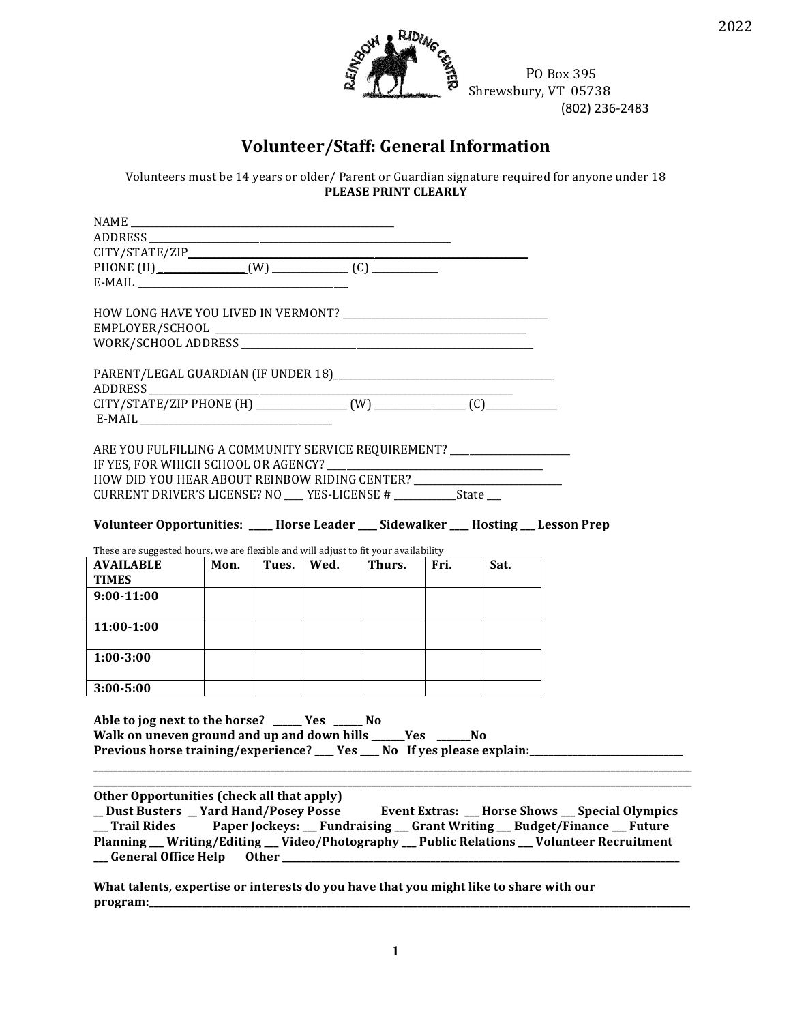

PO Box 395 Shrewsbury, VT 05738 (802) 236-2483

## **Volunteer/Staff: General Information**

Volunteers must be 14 years or older/ Parent or Guardian signature required for anyone under 18 **PLEASE PRINT CLEARLY** 

| ADDRESS                                                                                                                                                                                                                                                                                                                                                                                                      |      |              |        |      |      |  |
|--------------------------------------------------------------------------------------------------------------------------------------------------------------------------------------------------------------------------------------------------------------------------------------------------------------------------------------------------------------------------------------------------------------|------|--------------|--------|------|------|--|
|                                                                                                                                                                                                                                                                                                                                                                                                              |      |              |        |      |      |  |
|                                                                                                                                                                                                                                                                                                                                                                                                              |      |              |        |      |      |  |
| ARE YOU FULFILLING A COMMUNITY SERVICE REQUIREMENT? _____________________<br>HOW DID YOU HEAR ABOUT REINBOW RIDING CENTER? ____________________________<br>CURRENT DRIVER'S LICENSE? NO ___ YES-LICENSE # ___________State __<br>Volunteer Opportunities: ____ Horse Leader ___ Sidewalker ___ Hosting __ Lesson Prep<br>These are suggested hours, we are flexible and will adjust to fit your availability |      |              |        |      |      |  |
| <b>AVAILABLE</b>                                                                                                                                                                                                                                                                                                                                                                                             | Mon. | Tues.   Wed. | Thurs. | Fri. | Sat. |  |
| <b>TIMES</b>                                                                                                                                                                                                                                                                                                                                                                                                 |      |              |        |      |      |  |
| $9:00-11:00$                                                                                                                                                                                                                                                                                                                                                                                                 |      |              |        |      |      |  |
| 11:00-1:00                                                                                                                                                                                                                                                                                                                                                                                                   |      |              |        |      |      |  |
| $1:00 - 3:00$                                                                                                                                                                                                                                                                                                                                                                                                |      |              |        |      |      |  |
|                                                                                                                                                                                                                                                                                                                                                                                                              |      |              |        |      |      |  |
| $3:00 - 5:00$<br>Able to jog next to the horse? _____ Yes _____ No<br>Walk on uneven ground and up and down hills _____Yes _____No<br>Previous horse training/experience? __ Yes __ No If yes please explain: ________                                                                                                                                                                                       |      |              |        |      |      |  |

\_Dust Busters \_Yard Hand/Posey Posse Event Extras: \_\_ Horse Shows \_\_ Special Olympics \_\_ Trail Rides Paper Jockeys: \_\_ Fundraising \_\_ Grant Writing \_\_ Budget/Finance \_\_ Future Planning \_\_ Writing/Editing \_\_ Video/Photography \_\_ Public Relations \_\_ Volunteer Recruitment \_ General Office Help Other \_

What talents, expertise or interests do you have that you might like to share with our program:\_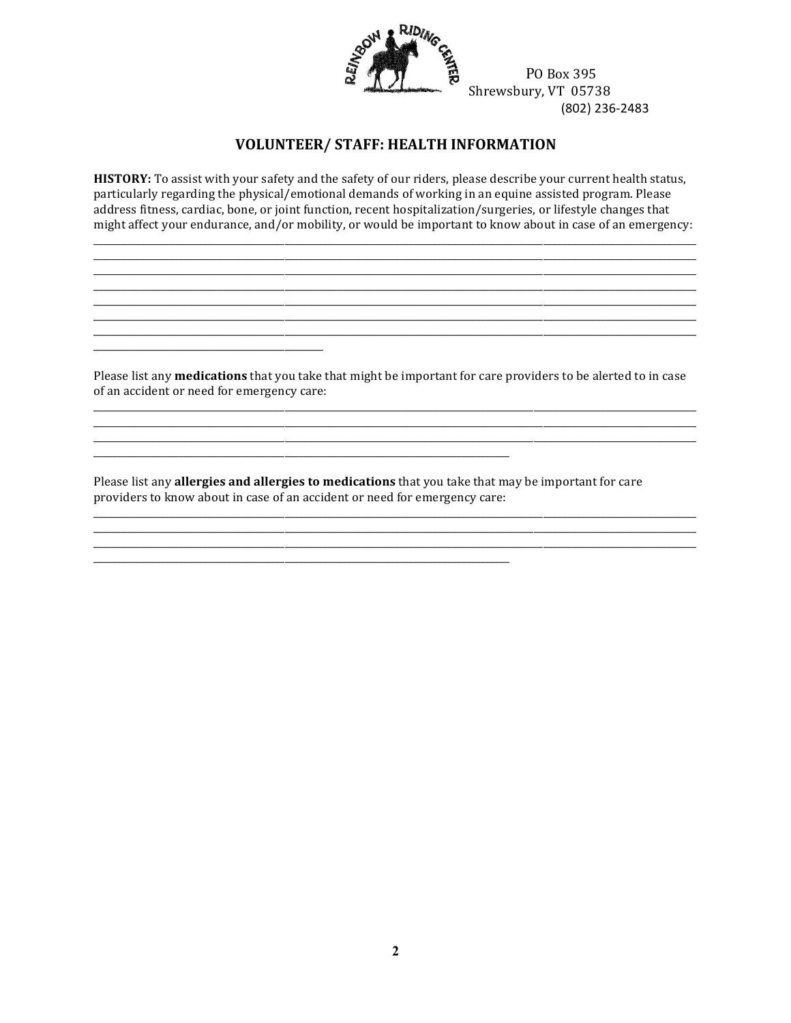

PO Box 395 Shrewsbury, VT 05738 (802) 236-2483

## **VOLUNTEER/ STAFF: HEALTH INFORMATION**

HISTORY: To assist with your safety and the safety of our riders, please describe your current health status, particularly regarding the physical/emotional demands of working in an equine assisted program. Please address fitness, cardiac, bone, or joint function, recent hospitalization/surgeries, or lifestyle changes that might affect your endurance, and/or mobility, or would be important to know about in case of an emergency:

Please list any **medications** that you take that might be important for care providers to be alerted to in case of an accident or need for emergency care:

Please list any allergies and allergies to medications that you take that may be important for care providers to know about in case of an accident or need for emergency care: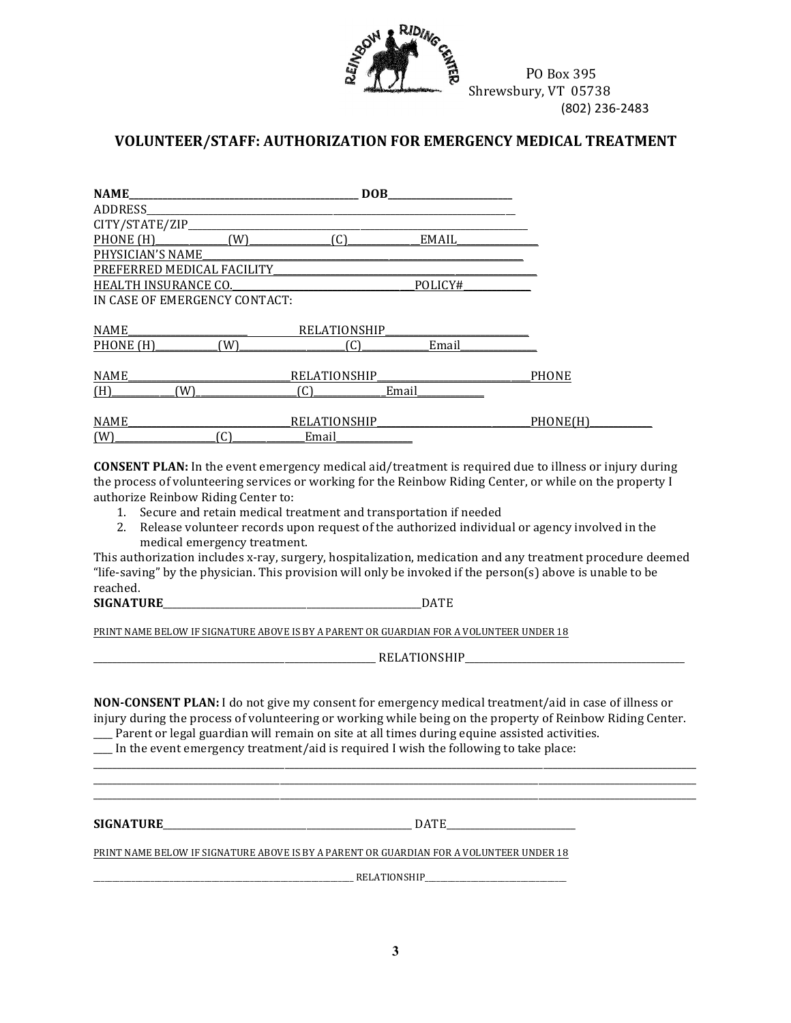

## **VOLUNTEER/STAFF: AUTHORIZATION FOR EMERGENCY MEDICAL TREATMENT**

| <b>NAME</b>                   |     | <b>DOB</b>          |              |              |
|-------------------------------|-----|---------------------|--------------|--------------|
| ADDRESS_                      |     |                     |              |              |
| CITY/STATE/ZIP_               |     |                     |              |              |
| PHONE (H)                     | (W) | (C)                 | <b>EMAIL</b> |              |
| PHYSICIAN'S NAME              |     |                     |              |              |
| PREFERRED MEDICAL FACILITY    |     |                     |              |              |
| <b>HEALTH INSURANCE CO.</b>   |     |                     | POLICY#      |              |
| IN CASE OF EMERGENCY CONTACT: |     |                     |              |              |
|                               |     |                     |              |              |
| <b>NAME</b>                   |     | <b>RELATIONSHIP</b> |              |              |
| PHONE (H)                     | (W) | (C)                 | Email        |              |
|                               |     |                     |              |              |
| <b>NAME</b>                   |     | <b>RELATIONSHIP</b> |              | <b>PHONE</b> |
| (H)<br>W)                     |     | ์C)                 | Email        |              |
|                               |     |                     |              |              |
| <b>NAME</b>                   |     | <b>RELATIONSHIP</b> |              | PHONE(H)     |
| (W)                           | C)  | Email               |              |              |

**CONSENT PLAN:** In the event emergency medical aid/treatment is required due to illness or injury during the process of volunteering services or working for the Reinbow Riding Center, or while on the property I authorize Reinbow Riding Center to:

- 1. Secure and retain medical treatment and transportation if needed
- 2. Release volunteer records upon request of the authorized individual or agency involved in the medical emergency treatment.

This authorization includes x-ray, surgery, hospitalization, medication and any treatment procedure deemed "life-saving" by the physician. This provision will only be invoked if the  $person(s)$  above is unable to be reached.

#### **SIGNATURE**\_\_\_\_\_\_\_\_\_\_\_\_\_\_\_\_\_\_\_\_\_\_\_\_\_\_\_\_\_\_\_\_\_\_\_\_\_\_\_\_\_\_\_\_\_\_\_\_\_\_\_\_\_\_DATE

PRINT NAME BELOW IF SIGNATURE ABOVE IS BY A PARENT OR GUARDIAN FOR A VOLUNTEER UNDER 18

 $RELATIONSHIP$ </u>

**NON-CONSENT PLAN:** I do not give my consent for emergency medical treatment/aid in case of illness or injury during the process of volunteering or working while being on the property of Reinbow Riding Center. \_\_\_\_ Parent or legal guardian will remain on site at all times during equine assisted activities.

\_\_\_\_\_\_\_\_\_\_\_\_\_\_\_\_\_\_\_\_\_\_\_\_\_\_\_\_\_\_\_\_\_\_\_\_\_\_\_\_\_\_\_\_\_\_\_\_\_\_\_\_\_\_\_\_\_\_\_\_\_\_\_\_\_\_\_\_\_\_\_\_\_\_\_\_\_\_\_\_\_\_\_\_\_\_\_\_\_\_\_\_\_\_\_\_\_\_\_\_\_\_\_\_\_\_\_\_\_\_\_\_\_\_\_\_\_\_\_\_\_\_\_\_\_\_ \_\_\_\_\_\_\_\_\_\_\_\_\_\_\_\_\_\_\_\_\_\_\_\_\_\_\_\_\_\_\_\_\_\_\_\_\_\_\_\_\_\_\_\_\_\_\_\_\_\_\_\_\_\_\_\_\_\_\_\_\_\_\_\_\_\_\_\_\_\_\_\_\_\_\_\_\_\_\_\_\_\_\_\_\_\_\_\_\_\_\_\_\_\_\_\_\_\_\_\_\_\_\_\_\_\_\_\_\_\_\_\_\_\_\_\_\_\_\_\_\_\_\_\_\_\_ \_\_\_\_\_\_\_\_\_\_\_\_\_\_\_\_\_\_\_\_\_\_\_\_\_\_\_\_\_\_\_\_\_\_\_\_\_\_\_\_\_\_\_\_\_\_\_\_\_\_\_\_\_\_\_\_\_\_\_\_\_\_\_\_\_\_\_\_\_\_\_\_\_\_\_\_\_\_\_\_\_\_\_\_\_\_\_\_\_\_\_\_\_\_\_\_\_\_\_\_\_\_\_\_\_\_\_\_\_\_\_\_\_\_\_\_\_\_\_\_\_\_\_\_\_\_

 $\Box$  In the event emergency treatment/aid is required I wish the following to take place:

**SIGNATURE**\_\_\_\_\_\_\_\_\_\_\_\_\_\_\_\_\_\_\_\_\_\_\_\_\_\_\_\_\_\_\_\_\_\_\_\_\_\_\_\_\_\_\_\_\_\_\_\_\_\_\_\_ DATE\_\_\_\_\_\_\_\_\_\_\_\_\_\_\_\_\_\_\_\_\_\_\_\_\_\_\_

PRINT NAME BELOW IF SIGNATURE ABOVE IS BY A PARENT OR GUARDIAN FOR A VOLUNTEER UNDER 18

 $\blacksquare$ RELATIONSHIP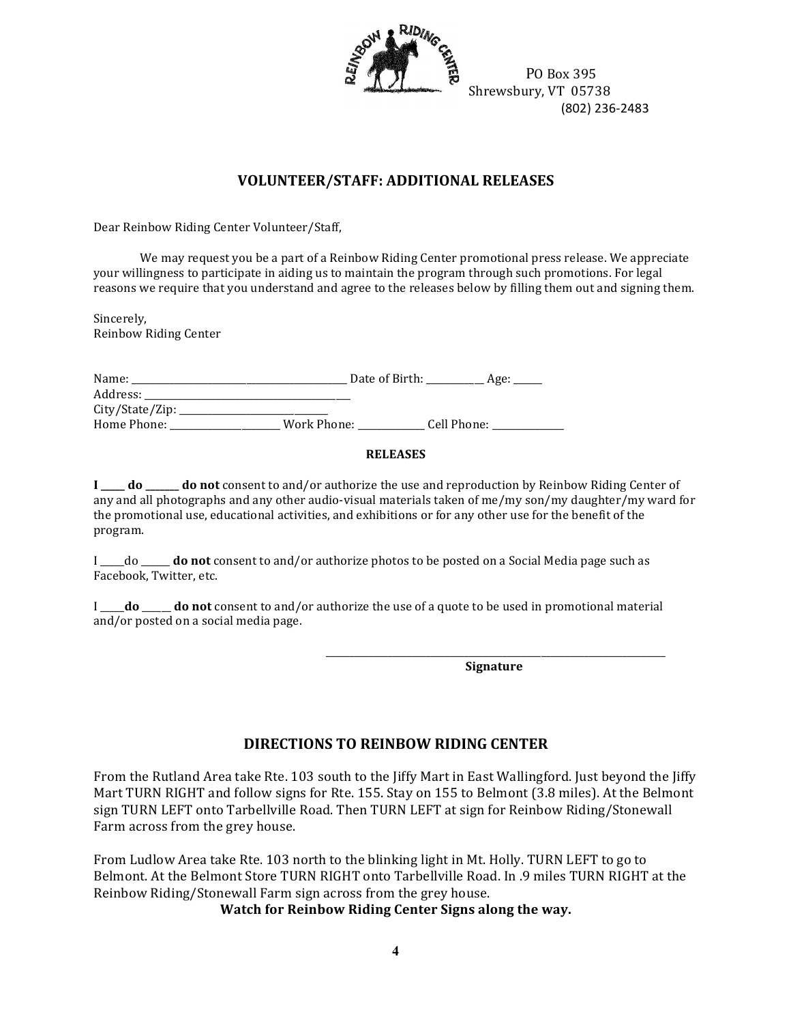

 $\frac{10}{20}$   $\frac{10}{20}$   $\frac{10}{20}$   $\frac{10}{20}$   $\frac{10}{20}$   $\frac{10}{20}$   $\frac{10}{20}$   $\frac{10}{20}$   $\frac{10}{20}$   $\frac{10}{20}$   $\frac{10}{20}$   $\frac{10}{20}$   $\frac{10}{20}$   $\frac{10}{20}$   $\frac{10}{20}$   $\frac{10}{20}$   $\frac{10}{20}$   $\frac{10}{20}$   $\frac{1$  $\frac{1}{2}$  Shrewsbury, VT 05738 (802) 236-2483

## **VOLUNTEER/STAFF: ADDITIONAL RELEASES**

Dear Reinbow Riding Center Volunteer/Staff,

We may request you be a part of a Reinbow Riding Center promotional press release. We appreciate your willingness to participate in aiding us to maintain the program through such promotions. For legal reasons we require that you understand and agree to the releases below by filling them out and signing them.

Sincerely, Reinbow Riding Center

| Name:           | Date of Birth: |             | Age: |
|-----------------|----------------|-------------|------|
| Address:        |                |             |      |
| City/State/Zip: |                |             |      |
| Home Phone:     | Work Phone:    | Cell Phone: |      |
|                 |                |             |      |

#### **RELEASES**

**I** \_\_\_\_\_**do** \_\_\_\_\_**do** not consent to and/or authorize the use and reproduction by Reinbow Riding Center of any and all photographs and any other audio-visual materials taken of me/my son/my daughter/my ward for the promotional use, educational activities, and exhibitions or for any other use for the benefit of the program.

I \_\_\_\_\_do \_\_\_\_\_ **do not** consent to and/or authorize photos to be posted on a Social Media page such as Facebook, Twitter, etc.

I \_\_\_\_**do** \_\_\_\_\_ **do not** consent to and/or authorize the use of a quote to be used in promotional material and/or posted on a social media page.

> \_\_\_\_\_\_\_\_\_\_\_\_\_\_\_\_\_\_\_\_\_\_\_\_\_\_\_\_\_\_\_\_\_\_\_\_\_\_\_\_\_\_\_\_\_\_\_\_\_\_\_\_\_\_\_\_\_\_\_\_\_\_\_\_\_\_\_\_\_\_\_ **Signature**

### **DIRECTIONS TO REINBOW RIDING CENTER**

From the Rutland Area take Rte. 103 south to the liffy Mart in East Wallingford. Just beyond the liffy Mart TURN RIGHT and follow signs for Rte. 155. Stay on 155 to Belmont (3.8 miles). At the Belmont sign TURN LEFT onto Tarbellville Road. Then TURN LEFT at sign for Reinbow Riding/Stonewall Farm across from the grey house.

From Ludlow Area take Rte. 103 north to the blinking light in Mt. Holly. TURN LEFT to go to Belmont. At the Belmont Store TURN RIGHT onto Tarbellyille Road. In .9 miles TURN RIGHT at the Reinbow Riding/Stonewall Farm sign across from the grey house.

**Watch for Reinbow Riding Center Signs along the way.**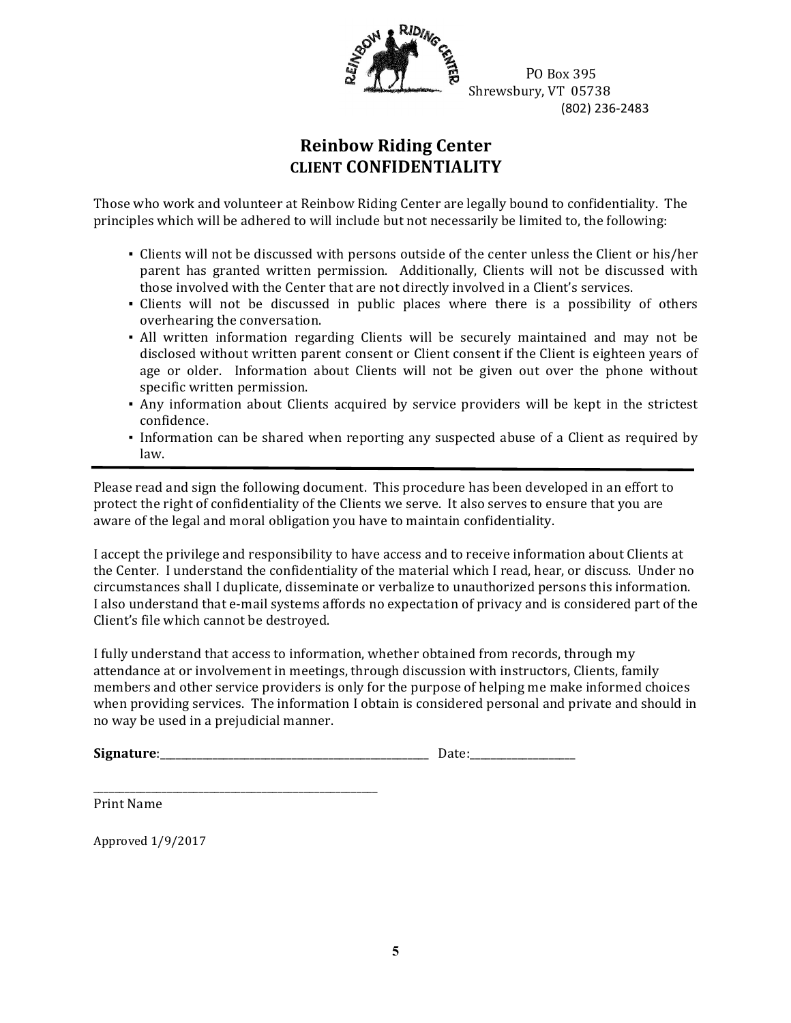

 PO Box 395  $\frac{1}{2}$  Shrewsbury, VT 05738 (802) 236-2483

# **Reinbow Riding Center CLIENT CONFIDENTIALITY**

Those who work and volunteer at Reinbow Riding Center are legally bound to confidentiality. The principles which will be adhered to will include but not necessarily be limited to, the following:

- Clients will not be discussed with persons outside of the center unless the Client or his/her parent has granted written permission. Additionally, Clients will not be discussed with those involved with the Center that are not directly involved in a Client's services.
- Clients will not be discussed in public places where there is a possibility of others overhearing the conversation.
- All written information regarding Clients will be securely maintained and may not be disclosed without written parent consent or Client consent if the Client is eighteen years of age or older. Information about Clients will not be given out over the phone without specific written permission.
- Any information about Clients acquired by service providers will be kept in the strictest confidence.
- Information can be shared when reporting any suspected abuse of a Client as required by law.

Please read and sign the following document. This procedure has been developed in an effort to protect the right of confidentiality of the Clients we serve. It also serves to ensure that you are aware of the legal and moral obligation you have to maintain confidentiality.

I accept the privilege and responsibility to have access and to receive information about Clients at the Center. I understand the confidentiality of the material which I read, hear, or discuss. Under no circumstances shall I duplicate, disseminate or verbalize to unauthorized persons this information. I also understand that e-mail systems affords no expectation of privacy and is considered part of the Client's file which cannot be destroyed.

I fully understand that access to information, whether obtained from records, through my attendance at or involvement in meetings, through discussion with instructors, Clients, family members and other service providers is only for the purpose of helping me make informed choices when providing services. The information I obtain is considered personal and private and should in no way be used in a prejudicial manner.

| <b>Signa</b><br>aturo: |  |
|------------------------|--|
|------------------------|--|

Print Name

Approved 1/9/2017

\_\_\_\_\_\_\_\_\_\_\_\_\_\_\_\_\_\_\_\_\_\_\_\_\_\_\_\_\_\_\_\_\_\_\_\_\_\_\_\_\_\_\_\_\_\_\_\_\_\_\_\_\_\_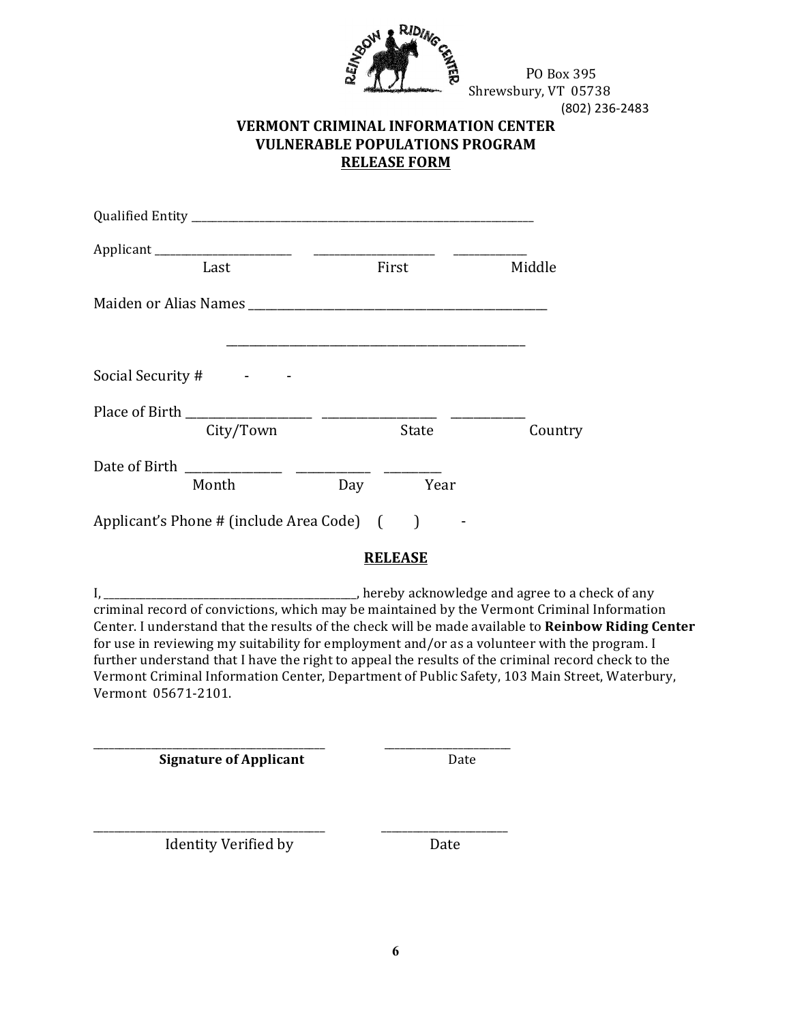

PO Box 395 Shrewsbury, VT 05738 (802) 236-2483

## **VERMONT CRIMINAL INFORMATION CENTER VULNERABLE POPULATIONS PROGRAM RELEASE FORM**

| Last                                       | First          | Middle  |
|--------------------------------------------|----------------|---------|
| Maiden or Alias Names                      |                |         |
|                                            |                |         |
| Social Security #                          |                |         |
|                                            |                |         |
| City/Town                                  | State          | Country |
| Date of Birth<br>Month                     | Day<br>Year    |         |
| Applicant's Phone # (include Area Code) () |                |         |
|                                            | <b>RELEASE</b> |         |

\_\_, hereby acknowledge and agree to a check of any  $I, \_\_$ criminal record of convictions, which may be maintained by the Vermont Criminal Information Center. I understand that the results of the check will be made available to Reinbow Riding Center for use in reviewing my suitability for employment and/or as a volunteer with the program. I further understand that I have the right to appeal the results of the criminal record check to the Vermont Criminal Information Center, Department of Public Safety, 103 Main Street, Waterbury, Vermont 05671-2101.

**Signature of Applicant** 

Date

Identity Verified by

Date